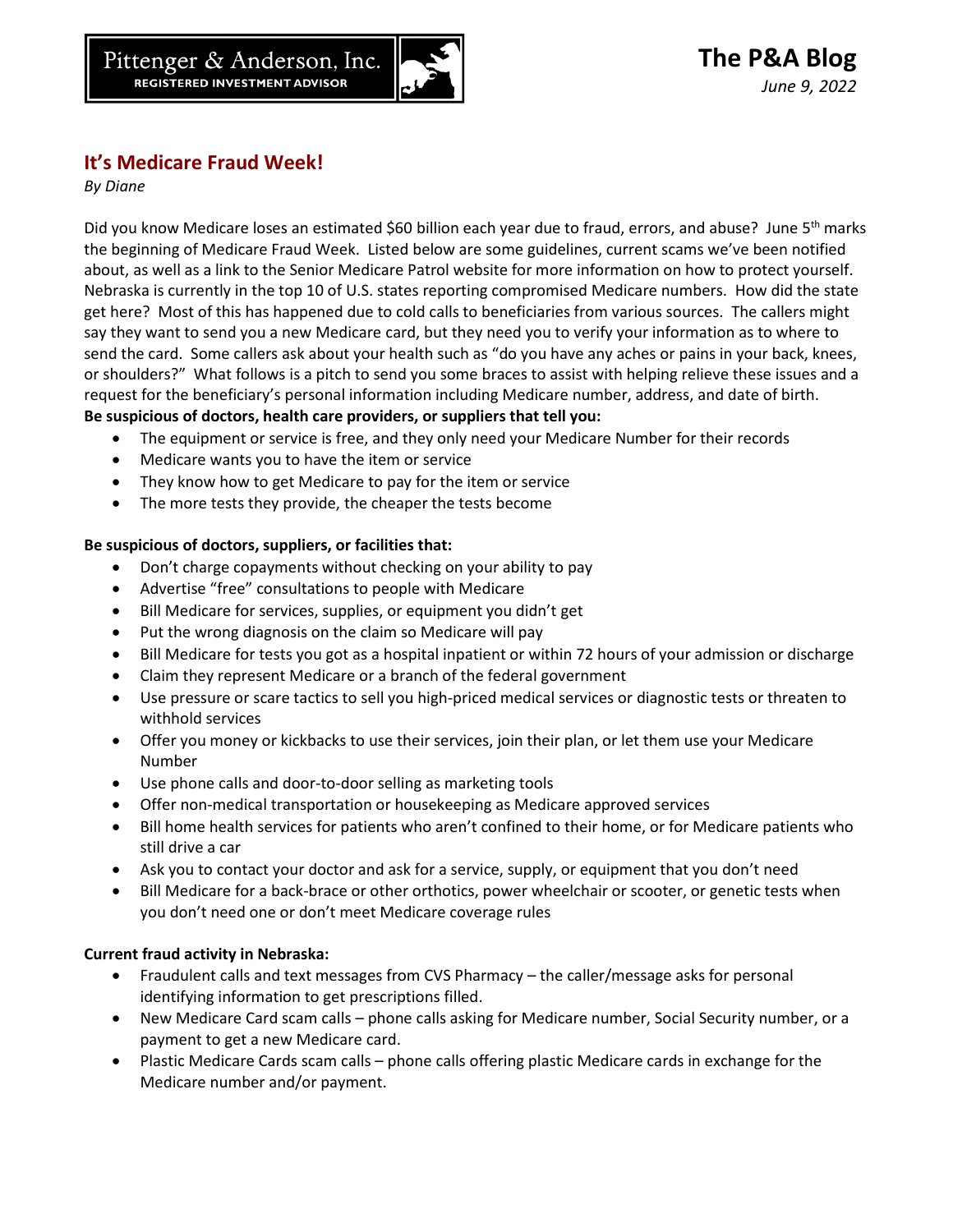

## **It's Medicare Fraud Week!**

*By Diane*

Did you know Medicare loses an estimated \$60 billion each year due to fraud, errors, and abuse? June 5<sup>th</sup> marks the beginning of Medicare Fraud Week. Listed below are some guidelines, current scams we've been notified about, as well as a link to the Senior Medicare Patrol website for more information on how to protect yourself. Nebraska is currently in the top 10 of U.S. states reporting compromised Medicare numbers. How did the state get here? Most of this has happened due to cold calls to beneficiaries from various sources. The callers might say they want to send you a new Medicare card, but they need you to verify your information as to where to send the card. Some callers ask about your health such as "do you have any aches or pains in your back, knees, or shoulders?" What follows is a pitch to send you some braces to assist with helping relieve these issues and a request for the beneficiary's personal information including Medicare number, address, and date of birth. **Be suspicious of doctors, health care providers, or suppliers that tell you:** 

- The equipment or service is free, and they only need your Medicare Number for their records
- Medicare wants you to have the item or service
- They know how to get Medicare to pay for the item or service
- The more tests they provide, the cheaper the tests become

## **Be suspicious of doctors, suppliers, or facilities that:**

- Don't charge copayments without checking on your ability to pay
- Advertise "free" consultations to people with Medicare
- Bill Medicare for services, supplies, or equipment you didn't get
- Put the wrong diagnosis on the claim so Medicare will pay
- Bill Medicare for tests you got as a hospital inpatient or within 72 hours of your admission or discharge
- Claim they represent Medicare or a branch of the federal government
- Use pressure or scare tactics to sell you high-priced medical services or diagnostic tests or threaten to withhold services
- Offer you money or kickbacks to use their services, join their plan, or let them use your Medicare Number
- Use phone calls and door-to-door selling as marketing tools
- Offer non-medical transportation or housekeeping as Medicare approved services
- Bill home health services for patients who aren't confined to their home, or for Medicare patients who still drive a car
- Ask you to contact your doctor and ask for a service, supply, or equipment that you don't need
- Bill Medicare for a back-brace or other orthotics, power wheelchair or scooter, or genetic tests when you don't need one or don't meet Medicare coverage rules

## **Current fraud activity in Nebraska:**

- Fraudulent calls and text messages from CVS Pharmacy the caller/message asks for personal identifying information to get prescriptions filled.
- New Medicare Card scam calls phone calls asking for Medicare number, Social Security number, or a payment to get a new Medicare card.
- Plastic Medicare Cards scam calls phone calls offering plastic Medicare cards in exchange for the Medicare number and/or payment.